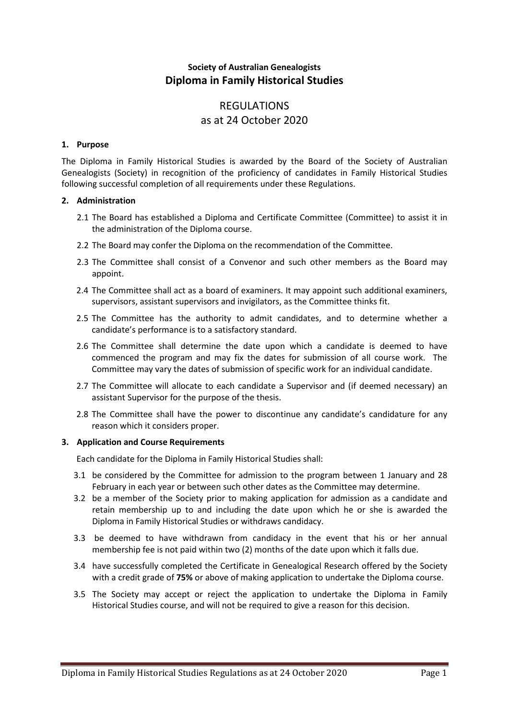# **Society of Australian Genealogists Diploma in Family Historical Studies**

# REGULATIONS as at 24 October 2020

# **1. Purpose**

The Diploma in Family Historical Studies is awarded by the Board of the Society of Australian Genealogists (Society) in recognition of the proficiency of candidates in Family Historical Studies following successful completion of all requirements under these Regulations.

# **2. Administration**

- 2.1 The Board has established a Diploma and Certificate Committee (Committee) to assist it in the administration of the Diploma course.
- 2.2 The Board may confer the Diploma on the recommendation of the Committee.
- 2.3 The Committee shall consist of a Convenor and such other members as the Board may appoint.
- 2.4 The Committee shall act as a board of examiners. It may appoint such additional examiners, supervisors, assistant supervisors and invigilators, as the Committee thinks fit.
- 2.5 The Committee has the authority to admit candidates, and to determine whether a candidate's performance is to a satisfactory standard.
- 2.6 The Committee shall determine the date upon which a candidate is deemed to have commenced the program and may fix the dates for submission of all course work. The Committee may vary the dates of submission of specific work for an individual candidate.
- 2.7 The Committee will allocate to each candidate a Supervisor and (if deemed necessary) an assistant Supervisor for the purpose of the thesis.
- 2.8 The Committee shall have the power to discontinue any candidate's candidature for any reason which it considers proper.

# **3. Application and Course Requirements**

Each candidate for the Diploma in Family Historical Studies shall:

- 3.1 be considered by the Committee for admission to the program between 1 January and 28 February in each year or between such other dates as the Committee may determine.
- 3.2 be a member of the Society prior to making application for admission as a candidate and retain membership up to and including the date upon which he or she is awarded the Diploma in Family Historical Studies or withdraws candidacy.
- 3.3 be deemed to have withdrawn from candidacy in the event that his or her annual membership fee is not paid within two (2) months of the date upon which it falls due.
- 3.4 have successfully completed the Certificate in Genealogical Research offered by the Society with a credit grade of **75%** or above of making application to undertake the Diploma course.
- 3.5 The Society may accept or reject the application to undertake the Diploma in Family Historical Studies course, and will not be required to give a reason for this decision.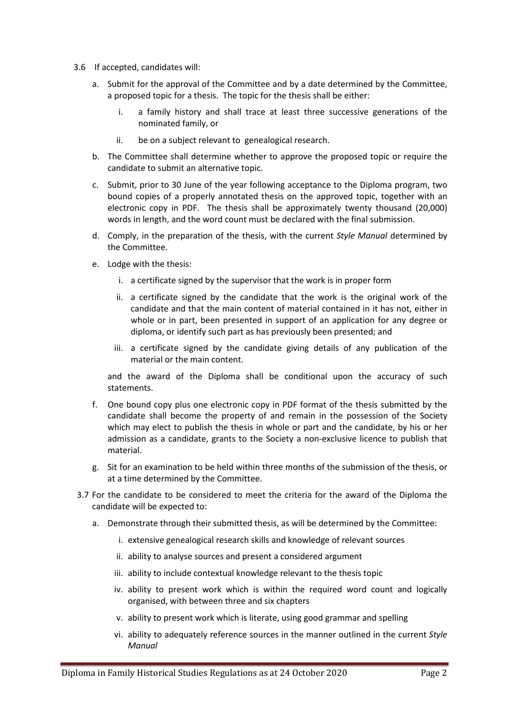- 3.6 If accepted, candidates will:
	- a. Submit for the approval of the Committee and by a date determined by the Committee, a proposed topic for a thesis. The topic for the thesis shall be either:
		- i. a family history and shall trace at least three successive generations of the nominated family, or
		- ii. be on a subject relevant to genealogical research.
	- b. The Committee shall determine whether to approve the proposed topic or require the candidate to submit an alternative topic.
	- c. Submit, prior to 30 June of the year following acceptance to the Diploma program, two bound copies of a properly annotated thesis on the approved topic, together with an electronic copy in PDF. The thesis shall be approximately twenty thousand (20,000) words in length, and the word count must be declared with the final submission.
	- d. Comply, in the preparation of the thesis, with the current *Style Manual* determined by the Committee.
	- e. Lodge with the thesis:
		- i. a certificate signed by the supervisor that the work is in proper form
		- ii. a certificate signed by the candidate that the work is the original work of the candidate and that the main content of material contained in it has not, either in whole or in part, been presented in support of an application for any degree or diploma, or identify such part as has previously been presented; and
		- iii. a certificate signed by the candidate giving details of any publication of the material or the main content.

and the award of the Diploma shall be conditional upon the accuracy of such statements.

- f. One bound copy plus one electronic copy in PDF format of the thesis submitted by the candidate shall become the property of and remain in the possession of the Society which may elect to publish the thesis in whole or part and the candidate, by his or her admission as a candidate, grants to the Society a non-exclusive licence to publish that material.
- g. Sit for an examination to be held within three months of the submission of the thesis, or at a time determined by the Committee.
- 3.7 For the candidate to be considered to meet the criteria for the award of the Diploma the candidate will be expected to:
	- a. Demonstrate through their submitted thesis, as will be determined by the Committee:
		- i. extensive genealogical research skills and knowledge of relevant sources
		- ii. ability to analyse sources and present a considered argument
		- iii. ability to include contextual knowledge relevant to the thesis topic
		- iv. ability to present work which is within the required word count and logically organised, with between three and six chapters
		- v. ability to present work which is literate, using good grammar and spelling
		- vi. ability to adequately reference sources in the manner outlined in the current *Style Manual*